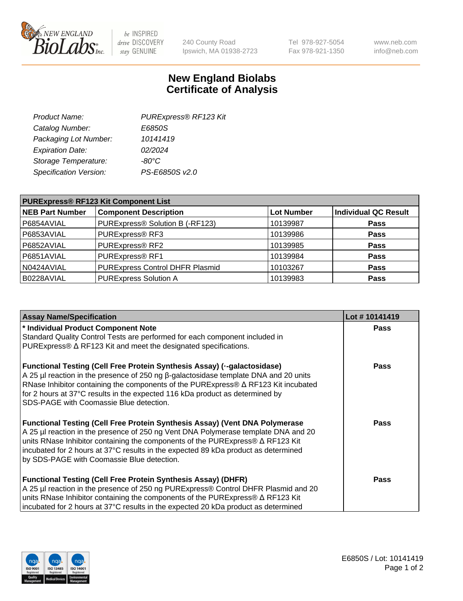

 $be$  INSPIRED drive DISCOVERY stay GENUINE

240 County Road Ipswich, MA 01938-2723 Tel 978-927-5054 Fax 978-921-1350 www.neb.com info@neb.com

## **New England Biolabs Certificate of Analysis**

| PURExpress® RF123 Kit |
|-----------------------|
| E6850S                |
| 10141419              |
| 02/2024               |
| $-80^{\circ}$ C       |
| PS-E6850S v2.0        |
|                       |

| <b>PURExpress® RF123 Kit Component List</b> |                                 |                   |                      |  |
|---------------------------------------------|---------------------------------|-------------------|----------------------|--|
| <b>NEB Part Number</b>                      | <b>Component Description</b>    | <b>Lot Number</b> | Individual QC Result |  |
| P6854AVIAL                                  | PURExpress® Solution B (-RF123) | 10139987          | <b>Pass</b>          |  |
| P6853AVIAL                                  | PURExpress® RF3                 | 10139986          | <b>Pass</b>          |  |
| P6852AVIAL                                  | PURExpress® RF2                 | 10139985          | <b>Pass</b>          |  |
| P6851AVIAL                                  | PURExpress® RF1                 | 10139984          | <b>Pass</b>          |  |
| N0424AVIAL                                  | PURExpress Control DHFR Plasmid | 10103267          | <b>Pass</b>          |  |
| B0228AVIAL                                  | PURExpress Solution A           | 10139983          | <b>Pass</b>          |  |

| <b>Assay Name/Specification</b>                                                                                                                                                                                                                                                                                                                                                                       | Lot #10141419 |
|-------------------------------------------------------------------------------------------------------------------------------------------------------------------------------------------------------------------------------------------------------------------------------------------------------------------------------------------------------------------------------------------------------|---------------|
| * Individual Product Component Note                                                                                                                                                                                                                                                                                                                                                                   | <b>Pass</b>   |
| Standard Quality Control Tests are performed for each component included in                                                                                                                                                                                                                                                                                                                           |               |
| PURExpress® $\Delta$ RF123 Kit and meet the designated specifications.                                                                                                                                                                                                                                                                                                                                |               |
| <b>Functional Testing (Cell Free Protein Synthesis Assay) (--galactosidase)</b><br>A 25 μl reaction in the presence of 250 ng β-galactosidase template DNA and 20 units<br>RNase Inhibitor containing the components of the PURExpress® $\Delta$ RF123 Kit incubated<br>for 2 hours at 37°C results in the expected 116 kDa product as determined by<br>SDS-PAGE with Coomassie Blue detection.       | <b>Pass</b>   |
| <b>Functional Testing (Cell Free Protein Synthesis Assay) (Vent DNA Polymerase</b><br>A 25 µl reaction in the presence of 250 ng Vent DNA Polymerase template DNA and 20<br>units RNase Inhibitor containing the components of the PURExpress® $\Delta$ RF123 Kit<br>incubated for 2 hours at 37°C results in the expected 89 kDa product as determined<br>by SDS-PAGE with Coomassie Blue detection. | Pass          |
| <b>Functional Testing (Cell Free Protein Synthesis Assay) (DHFR)</b><br>A 25 µl reaction in the presence of 250 ng PURExpress® Control DHFR Plasmid and 20<br>units RNase Inhibitor containing the components of the PURExpress® ∆ RF123 Kit<br>incubated for 2 hours at 37°C results in the expected 20 kDa product as determined                                                                    | Pass          |